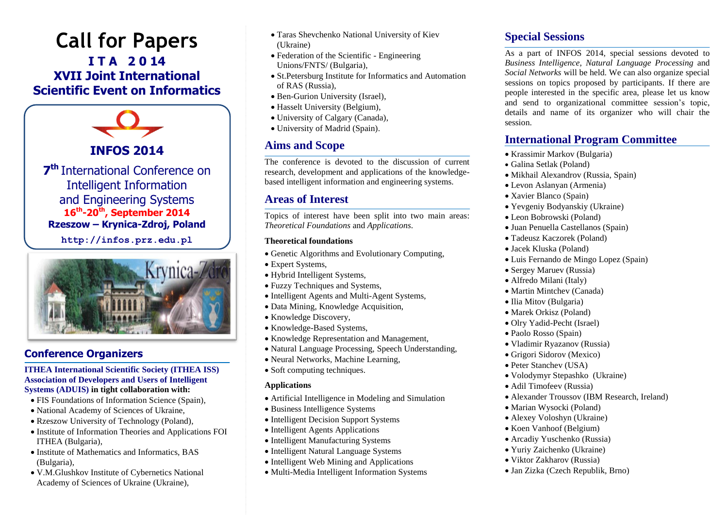# **Call for Papers I T A 2 0 14 XVII Joint International Scientific Event on Informatics**



Intelligent Information and Engineering Systems **16 th -20th , September 2014 Rzeszow – Krynica-Zdroj, Poland**

**[http://infos.prz.edu.pl](http://infos.prz.edu.pl/)**



#### **Conference Organizers**

#### **ITHEA International Scientific Society (ITHEA ISS) Association of Developers and Users of Intelligent Systems (ADUIS) in tight collaboration with:**

- FIS Foundations of Information Science (Spain),
- National Academy of Sciences of Ukraine,
- Rzeszow University of Technology (Poland),
- Institute of Information Theories and Applications FOI ITHEA (Bulgaria),
- Institute of Mathematics and Informatics, BAS (Bulgaria),
- V.M.Glushkov Institute of Cybernetics National Academy of Sciences of Ukraine (Ukraine),
- Taras Shevchenko National University of Kiev (Ukraine)
- Federation of the Scientific Engineering Unions/FNTS/ (Bulgaria),
- St.Petersburg Institute for Informatics and Automation of RAS (Russia),
- Ben-Gurion University (Israel),
- Hasselt University (Belgium),
- University of Calgary (Canada),
- University of Madrid (Spain).

## **Aims and Scope**

The conference is devoted to the discussion of current research, development and applications of the knowledgebased intelligent information and engineering systems.

#### **Areas of Interest**

Topics of interest have been split into two main areas: *Theoretical Foundations* and *Applications*.

#### **Theoretical foundations**

- Genetic Algorithms and Evolutionary Computing,
- Expert Systems,
- Hybrid Intelligent Systems,
- Fuzzy Techniques and Systems,
- Intelligent Agents and Multi-Agent Systems,
- Data Mining, Knowledge Acquisition,
- Knowledge Discovery,
- Knowledge-Based Systems,
- Knowledge Representation and Management,
- Natural Language Processing, Speech Understanding,
- Neural Networks, Machine Learning,
- Soft computing techniques.

#### **Applications**

- Artificial Intelligence in Modeling and Simulation
- Business Intelligence Systems
- Intelligent Decision Support Systems
- Intelligent Agents Applications
- Intelligent Manufacturing Systems
- Intelligent Natural Language Systems
- Intelligent Web Mining and Applications
- Multi-Media Intelligent Information Systems

## **Special Sessions**

As a part of INFOS 2014, special sessions devoted to *Business Intelligence*, *Natural Language Processing* and *Social Networks* will be held. We can also organize special sessions on topics proposed by participants. If there are people interested in the specific area, please let us know and send to organizational committee session's topic, details and name of its organizer who will chair the session.

## **International Program Committee**

- Krassimir Markov (Bulgaria)
- Galina Setlak (Poland)
- Mikhail Alexandrov (Russia, Spain)
- Levon Aslanyan (Armenia)
- Xavier Blanco (Spain)
- Yevgeniy Bodyanskiy (Ukraine)
- Leon Bobrowski (Poland)
- Juan Penuella Castellanos (Spain)
- Tadeusz Kaczorek (Poland)
- Jacek Kluska (Poland)
- Luis Fernando de Mingo Lopez (Spain)
- Sergey Maruev (Russia)
- Alfredo Milani (Italy)
- Martin Mintchev (Canada)
- Ilia Mitov (Bulgaria)
- Marek Orkisz (Poland)
- Olry Yadid-Pecht (Israel)
- Paolo Rosso (Spain)
- Vladimir Ryazanov (Russia)
- Grigori Sidorov (Mexico)
- Peter Stanchev (USA)
- Volodymyr Stepashko (Ukraine)
- Adil Timofeev (Russia)
- Alexander Troussov (IBM Research, Ireland)
- Marian Wysocki (Poland)
- Alexey Voloshyn (Ukraine)
- Koen Vanhoof (Belgium)
- Arcadiy Yuschenko (Russia)
- Yuriy Zaichenko (Ukraine)
- Viktor Zakharov (Russia)
- Jan Zizka (Czech Republik, Brno)